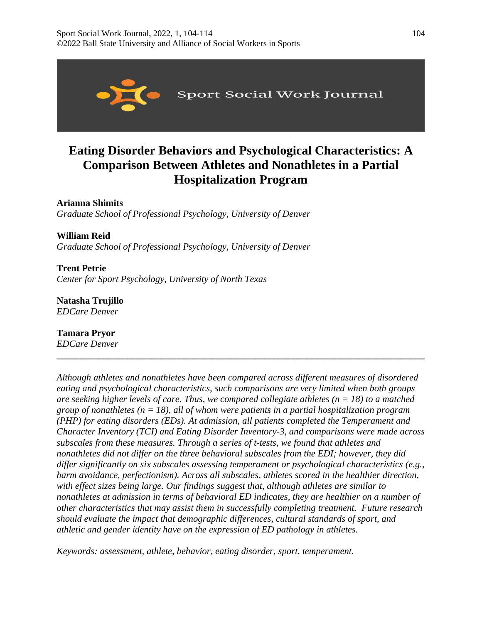

# **Eating Disorder Behaviors and Psychological Characteristics: A Comparison Between Athletes and Nonathletes in a Partial Hospitalization Program**

**Arianna Shimits** 

*Graduate School of Professional Psychology, University of Denver* 

**William Reid**  *Graduate School of Professional Psychology, University of Denver* 

**Trent Petrie** *Center for Sport Psychology, University of North Texas* 

**Natasha Trujillo** *EDCare Denver* 

**Tamara Pryor**  *EDCare Denver* 

*Although athletes and nonathletes have been compared across different measures of disordered eating and psychological characteristics, such comparisons are very limited when both groups are seeking higher levels of care. Thus, we compared collegiate athletes (n = 18) to a matched group of nonathletes (n = 18), all of whom were patients in a partial hospitalization program (PHP) for eating disorders (EDs). At admission, all patients completed the Temperament and Character Inventory (TCI) and Eating Disorder Inventory-3, and comparisons were made across subscales from these measures. Through a series of t-tests, we found that athletes and nonathletes did not differ on the three behavioral subscales from the EDI; however, they did differ significantly on six subscales assessing temperament or psychological characteristics (e.g., harm avoidance, perfectionism). Across all subscales, athletes scored in the healthier direction, with effect sizes being large. Our findings suggest that, although athletes are similar to nonathletes at admission in terms of behavioral ED indicates, they are healthier on a number of other characteristics that may assist them in successfully completing treatment. Future research should evaluate the impact that demographic differences, cultural standards of sport, and athletic and gender identity have on the expression of ED pathology in athletes.*

**\_\_\_\_\_\_\_\_\_\_\_\_\_\_\_\_\_\_\_\_\_\_\_\_\_\_\_\_\_\_\_\_\_\_\_\_\_\_\_\_\_\_\_\_\_\_\_\_\_\_\_\_\_\_\_\_\_\_\_\_\_\_\_\_\_\_\_\_\_\_\_\_\_\_\_\_\_\_**

*Keywords: assessment, athlete, behavior, eating disorder, sport, temperament.*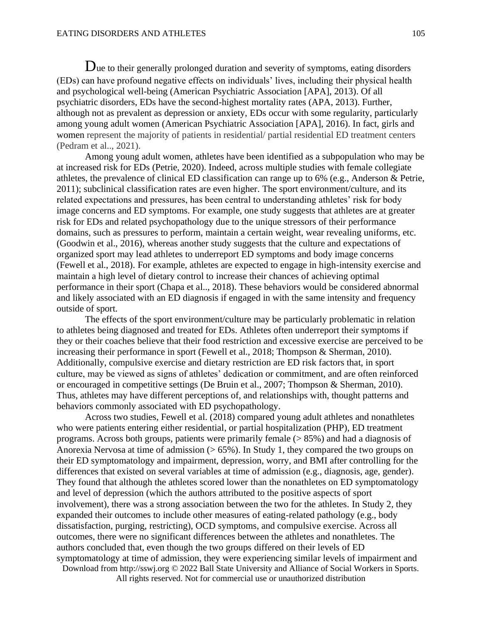Due to their generally prolonged duration and severity of symptoms, eating disorders (EDs) can have profound negative effects on individuals' lives, including their physical health and psychological well-being (American Psychiatric Association [APA], 2013). Of all psychiatric disorders, EDs have the second-highest mortality rates (APA, 2013). Further, although not as prevalent as depression or anxiety, EDs occur with some regularity, particularly among young adult women (American Psychiatric Association [APA], 2016). In fact, girls and women represent the majority of patients in residential/ partial residential ED treatment centers (Pedram et al.., 2021).

Among young adult women, athletes have been identified as a subpopulation who may be at increased risk for EDs (Petrie, 2020). Indeed, across multiple studies with female collegiate athletes, the prevalence of clinical ED classification can range up to 6% (e.g., Anderson & Petrie, 2011); subclinical classification rates are even higher. The sport environment/culture, and its related expectations and pressures, has been central to understanding athletes' risk for body image concerns and ED symptoms. For example, one study suggests that athletes are at greater risk for EDs and related psychopathology due to the unique stressors of their performance domains, such as pressures to perform, maintain a certain weight, wear revealing uniforms, etc. (Goodwin et al., 2016), whereas another study suggests that the culture and expectations of organized sport may lead athletes to underreport ED symptoms and body image concerns (Fewell et al., 2018). For example, athletes are expected to engage in high-intensity exercise and maintain a high level of dietary control to increase their chances of achieving optimal performance in their sport (Chapa et al.., 2018). These behaviors would be considered abnormal and likely associated with an ED diagnosis if engaged in with the same intensity and frequency outside of sport.

The effects of the sport environment/culture may be particularly problematic in relation to athletes being diagnosed and treated for EDs. Athletes often underreport their symptoms if they or their coaches believe that their food restriction and excessive exercise are perceived to be increasing their performance in sport (Fewell et al., 2018; Thompson & Sherman, 2010). Additionally, compulsive exercise and dietary restriction are ED risk factors that, in sport culture, may be viewed as signs of athletes' dedication or commitment, and are often reinforced or encouraged in competitive settings (De Bruin et al., 2007; Thompson & Sherman, 2010). Thus, athletes may have different perceptions of, and relationships with, thought patterns and behaviors commonly associated with ED psychopathology.

Download from http://sswj.org © 2022 Ball State University and Alliance of Social Workers in Sports. Across two studies, Fewell et al. (2018) compared young adult athletes and nonathletes who were patients entering either residential, or partial hospitalization (PHP), ED treatment programs. Across both groups, patients were primarily female (> 85%) and had a diagnosis of Anorexia Nervosa at time of admission (> 65%). In Study 1, they compared the two groups on their ED symptomatology and impairment, depression, worry, and BMI after controlling for the differences that existed on several variables at time of admission (e.g., diagnosis, age, gender). They found that although the athletes scored lower than the nonathletes on ED symptomatology and level of depression (which the authors attributed to the positive aspects of sport involvement), there was a strong association between the two for the athletes. In Study 2, they expanded their outcomes to include other measures of eating-related pathology (e.g., body dissatisfaction, purging, restricting), OCD symptoms, and compulsive exercise. Across all outcomes, there were no significant differences between the athletes and nonathletes. The authors concluded that, even though the two groups differed on their levels of ED symptomatology at time of admission, they were experiencing similar levels of impairment and

All rights reserved. Not for commercial use or unauthorized distribution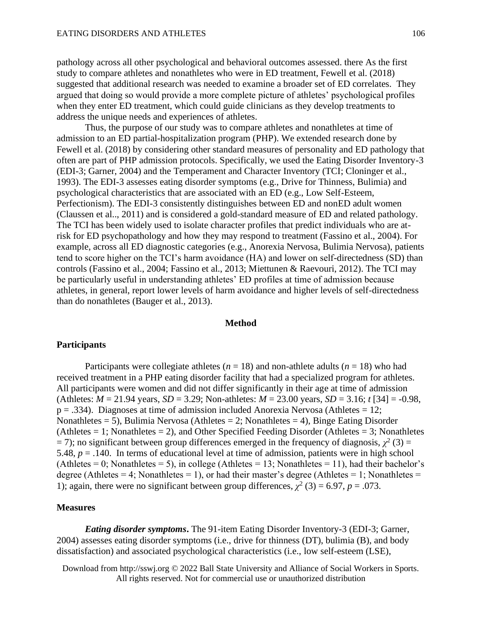pathology across all other psychological and behavioral outcomes assessed. there As the first study to compare athletes and nonathletes who were in ED treatment, Fewell et al. (2018) suggested that additional research was needed to examine a broader set of ED correlates. They argued that doing so would provide a more complete picture of athletes' psychological profiles when they enter ED treatment, which could guide clinicians as they develop treatments to address the unique needs and experiences of athletes.

Thus, the purpose of our study was to compare athletes and nonathletes at time of admission to an ED partial-hospitalization program (PHP). We extended research done by Fewell et al. (2018) by considering other standard measures of personality and ED pathology that often are part of PHP admission protocols. Specifically, we used the Eating Disorder Inventory-3 (EDI-3; Garner, 2004) and the Temperament and Character Inventory (TCI; Cloninger et al., 1993). The EDI-3 assesses eating disorder symptoms (e.g., Drive for Thinness, Bulimia) and psychological characteristics that are associated with an ED (e.g., Low Self-Esteem, Perfectionism). The EDI-3 consistently distinguishes between ED and nonED adult women (Claussen et al.., 2011) and is considered a gold-standard measure of ED and related pathology. The TCI has been widely used to isolate character profiles that predict individuals who are atrisk for ED psychopathology and how they may respond to treatment (Fassino et al., 2004). For example, across all ED diagnostic categories (e.g., Anorexia Nervosa, Bulimia Nervosa), patients tend to score higher on the TCI's harm avoidance (HA) and lower on self-directedness (SD) than controls (Fassino et al., 2004; Fassino et al., 2013; Miettunen & Raevouri, 2012). The TCI may be particularly useful in understanding athletes' ED profiles at time of admission because athletes, in general, report lower levels of harm avoidance and higher levels of self-directedness than do nonathletes (Bauger et al., 2013).

#### **Method**

### **Participants**

Participants were collegiate athletes ( $n = 18$ ) and non-athlete adults ( $n = 18$ ) who had received treatment in a PHP eating disorder facility that had a specialized program for athletes. All participants were women and did not differ significantly in their age at time of admission (Athletes:  $M = 21.94$  years,  $SD = 3.29$ ; Non-athletes:  $M = 23.00$  years,  $SD = 3.16$ ;  $t$  [34] = -0.98,  $p = .334$ ). Diagnoses at time of admission included Anorexia Nervosa (Athletes = 12; Nonathletes = 5), Bulimia Nervosa (Athletes = 2; Nonathletes = 4), Binge Eating Disorder (Athletes  $= 1$ ; Nonathletes  $= 2$ ), and Other Specified Feeding Disorder (Athletes  $= 3$ ; Nonathletes  $=$  7); no significant between group differences emerged in the frequency of diagnosis,  $\chi^2$  (3) = 5.48, *p* = .140. In terms of educational level at time of admission, patients were in high school (Athletes = 0; Nonathletes = 5), in college (Athletes = 13; Nonathletes = 11), had their bachelor's degree (Athletes = 4; Nonathletes = 1), or had their master's degree (Athletes = 1; Nonathletes = 1); again, there were no significant between group differences,  $\chi^2$  (3) = 6.97, *p* = .073.

# **Measures**

*Eating disorder symptoms***.** The 91-item Eating Disorder Inventory-3 (EDI-3; Garner, 2004) assesses eating disorder symptoms (i.e., drive for thinness (DT), bulimia (B), and body dissatisfaction) and associated psychological characteristics (i.e., low self-esteem (LSE),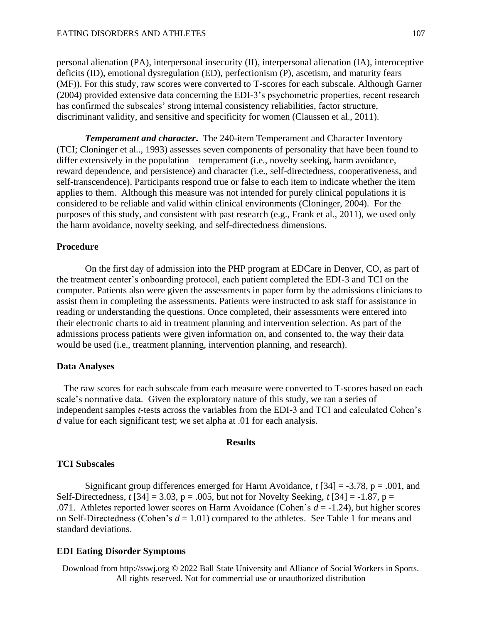personal alienation (PA), interpersonal insecurity (II), interpersonal alienation (IA), interoceptive deficits (ID), emotional dysregulation (ED), perfectionism (P), ascetism, and maturity fears (MF)). For this study, raw scores were converted to T-scores for each subscale. Although Garner (2004) provided extensive data concerning the EDI-3's psychometric properties, recent research has confirmed the subscales' strong internal consistency reliabilities, factor structure, discriminant validity, and sensitive and specificity for women (Claussen et al., 2011).

*Temperament and character***.** The 240-item Temperament and Character Inventory (TCI; Cloninger et al.., 1993) assesses seven components of personality that have been found to differ extensively in the population – temperament (i.e., novelty seeking, harm avoidance, reward dependence, and persistence) and character (i.e., self-directedness, cooperativeness, and self-transcendence). Participants respond true or false to each item to indicate whether the item applies to them. Although this measure was not intended for purely clinical populations it is considered to be reliable and valid within clinical environments (Cloninger, 2004). For the purposes of this study, and consistent with past research (e.g., Frank et al., 2011), we used only the harm avoidance, novelty seeking, and self-directedness dimensions.

# **Procedure**

 On the first day of admission into the PHP program at EDCare in Denver, CO, as part of the treatment center's onboarding protocol, each patient completed the EDI-3 and TCI on the computer. Patients also were given the assessments in paper form by the admissions clinicians to assist them in completing the assessments. Patients were instructed to ask staff for assistance in reading or understanding the questions. Once completed, their assessments were entered into their electronic charts to aid in treatment planning and intervention selection. As part of the admissions process patients were given information on, and consented to, the way their data would be used (i.e., treatment planning, intervention planning, and research).

### **Data Analyses**

 The raw scores for each subscale from each measure were converted to T-scores based on each scale's normative data. Given the exploratory nature of this study, we ran a series of independent samples *t*-tests across the variables from the EDI-3 and TCI and calculated Cohen's *d* value for each significant test; we set alpha at .01 for each analysis.

# **Results**

# **TCI Subscales**

Significant group differences emerged for Harm Avoidance, *t* [34] = -3.78, p = .001, and Self-Directedness,  $t$  [34] = 3.03, p = .005, but not for Novelty Seeking,  $t$  [34] = -1.87, p = .071. Athletes reported lower scores on Harm Avoidance (Cohen's *d* = -1.24), but higher scores on Self-Directedness (Cohen's *d* = 1.01) compared to the athletes. See Table 1 for means and standard deviations.

# **EDI Eating Disorder Symptoms**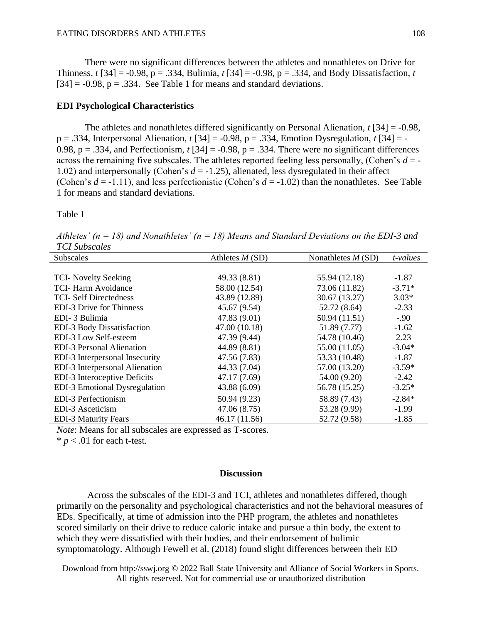There were no significant differences between the athletes and nonathletes on Drive for Thinness, *t* [34] = -0.98, p = .334, Bulimia, *t* [34] = -0.98, p = .334, and Body Dissatisfaction, *t*  $[34] = -0.98$ ,  $p = .334$ . See Table 1 for means and standard deviations.

#### **EDI Psychological Characteristics**

The athletes and nonathletes differed significantly on Personal Alienation, *t* [34] = -0.98, p = .334, Interpersonal Alienation, *t* [34] = -0.98, p = .334, Emotion Dysregulation, *t* [34] = - 0.98,  $p = .334$ , and Perfectionism,  $t$  [34] = -0.98,  $p = .334$ . There were no significant differences across the remaining five subscales. The athletes reported feeling less personally, (Cohen's *d* = - 1.02) and interpersonally (Cohen's *d* = -1.25), alienated, less dysregulated in their affect (Cohen's  $d = -1.11$ ), and less perfectionistic (Cohen's  $d = -1.02$ ) than the nonathletes. See Table 1 for means and standard deviations.

Table 1

*Athletes' (n = 18) and Nonathletes' (n = 18) Means and Standard Deviations on the EDI-3 and TCI Subscales*

| <b>Subscales</b>                     | Athletes $M(SD)$ | Nonathletes $M(SD)$ | t-values |
|--------------------------------------|------------------|---------------------|----------|
|                                      |                  |                     |          |
| <b>TCI-</b> Novelty Seeking          | 49.33 (8.81)     | 55.94 (12.18)       | $-1.87$  |
| TCI-Harm Avoidance                   | 58.00 (12.54)    | 73.06 (11.82)       | $-3.71*$ |
| <b>TCI-Self Directedness</b>         | 43.89 (12.89)    | 30.67 (13.27)       | $3.03*$  |
| <b>EDI-3 Drive for Thinness</b>      | 45.67 (9.54)     | 52.72 (8.64)        | $-2.33$  |
| EDI-3 Bulimia                        | 47.83 (9.01)     | 50.94 (11.51)       | $-.90$   |
| EDI-3 Body Dissatisfaction           | 47.00 (10.18)    | 51.89 (7.77)        | $-1.62$  |
| EDI-3 Low Self-esteem                | 47.39 (9.44)     | 54.78 (10.46)       | 2.23     |
| <b>EDI-3 Personal Alienation</b>     | 44.89 (8.81)     | 55.00 (11.05)       | $-3.04*$ |
| EDI-3 Interpersonal Insecurity       | 47.56 (7.83)     | 53.33 (10.48)       | $-1.87$  |
| EDI-3 Interpersonal Alienation       | 44.33 (7.04)     | 57.00 (13.20)       | $-3.59*$ |
| EDI-3 Interoceptive Deficits         | 47.17 (7.69)     | 54.00 (9.20)        | $-2.42$  |
| <b>EDI-3</b> Emotional Dysregulation | 43.88 (6.09)     | 56.78 (15.25)       | $-3.25*$ |
| EDI-3 Perfectionism                  | 50.94 (9.23)     | 58.89 (7.43)        | $-2.84*$ |
| EDI-3 Asceticism                     | 47.06(8.75)      | 53.28 (9.99)        | $-1.99$  |
| <b>EDI-3 Maturity Fears</b>          | 46.17(11.56)     | 52.72 (9.58)        | $-1.85$  |
|                                      |                  |                     |          |

*Note*: Means for all subscales are expressed as T-scores.

 $* p < .01$  for each t-test.

# **Discussion**

Across the subscales of the EDI-3 and TCI, athletes and nonathletes differed, though primarily on the personality and psychological characteristics and not the behavioral measures of EDs. Specifically, at time of admission into the PHP program, the athletes and nonathletes scored similarly on their drive to reduce caloric intake and pursue a thin body, the extent to which they were dissatisfied with their bodies, and their endorsement of bulimic symptomatology. Although Fewell et al. (2018) found slight differences between their ED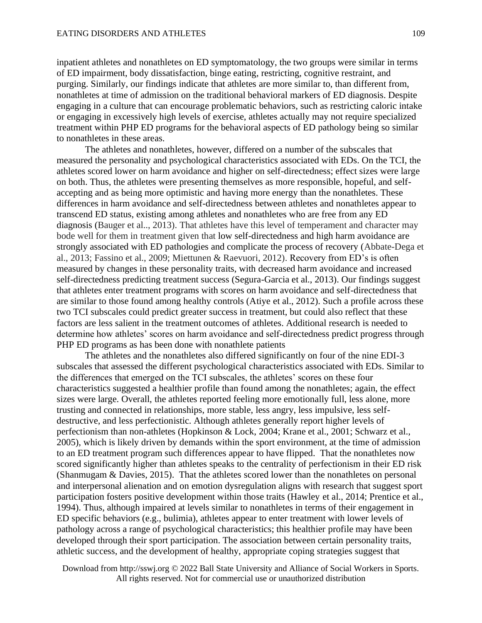inpatient athletes and nonathletes on ED symptomatology, the two groups were similar in terms of ED impairment, body dissatisfaction, binge eating, restricting, cognitive restraint, and purging. Similarly, our findings indicate that athletes are more similar to, than different from, nonathletes at time of admission on the traditional behavioral markers of ED diagnosis. Despite engaging in a culture that can encourage problematic behaviors, such as restricting caloric intake or engaging in excessively high levels of exercise, athletes actually may not require specialized treatment within PHP ED programs for the behavioral aspects of ED pathology being so similar to nonathletes in these areas.

The athletes and nonathletes, however, differed on a number of the subscales that measured the personality and psychological characteristics associated with EDs. On the TCI, the athletes scored lower on harm avoidance and higher on self-directedness; effect sizes were large on both. Thus, the athletes were presenting themselves as more responsible, hopeful, and selfaccepting and as being more optimistic and having more energy than the nonathletes. These differences in harm avoidance and self-directedness between athletes and nonathletes appear to transcend ED status, existing among athletes and nonathletes who are free from any ED diagnosis (Bauger et al.., 2013). That athletes have this level of temperament and character may bode well for them in treatment given that low self-directedness and high harm avoidance are strongly associated with ED pathologies and complicate the process of recovery (Abbate-Dega et al., 2013; Fassino et al., 2009; Miettunen & Raevuori, 2012). Recovery from ED's is often measured by changes in these personality traits, with decreased harm avoidance and increased self-directedness predicting treatment success (Segura-Garcia et al., 2013). Our findings suggest that athletes enter treatment programs with scores on harm avoidance and self-directedness that are similar to those found among healthy controls (Atiye et al., 2012). Such a profile across these two TCI subscales could predict greater success in treatment, but could also reflect that these factors are less salient in the treatment outcomes of athletes. Additional research is needed to determine how athletes' scores on harm avoidance and self-directedness predict progress through PHP ED programs as has been done with nonathlete patients

The athletes and the nonathletes also differed significantly on four of the nine EDI-3 subscales that assessed the different psychological characteristics associated with EDs. Similar to the differences that emerged on the TCI subscales, the athletes' scores on these four characteristics suggested a healthier profile than found among the nonathletes; again, the effect sizes were large. Overall, the athletes reported feeling more emotionally full, less alone, more trusting and connected in relationships, more stable, less angry, less impulsive, less selfdestructive, and less perfectionistic. Although athletes generally report higher levels of perfectionism than non-athletes (Hopkinson & Lock, 2004; Krane et al., 2001; Schwarz et al., 2005), which is likely driven by demands within the sport environment, at the time of admission to an ED treatment program such differences appear to have flipped. That the nonathletes now scored significantly higher than athletes speaks to the centrality of perfectionism in their ED risk (Shanmugam & Davies, 2015). That the athletes scored lower than the nonathletes on personal and interpersonal alienation and on emotion dysregulation aligns with research that suggest sport participation fosters positive development within those traits (Hawley et al., 2014; Prentice et al., 1994). Thus, although impaired at levels similar to nonathletes in terms of their engagement in ED specific behaviors (e.g., bulimia), athletes appear to enter treatment with lower levels of pathology across a range of psychological characteristics; this healthier profile may have been developed through their sport participation. The association between certain personality traits, athletic success, and the development of healthy, appropriate coping strategies suggest that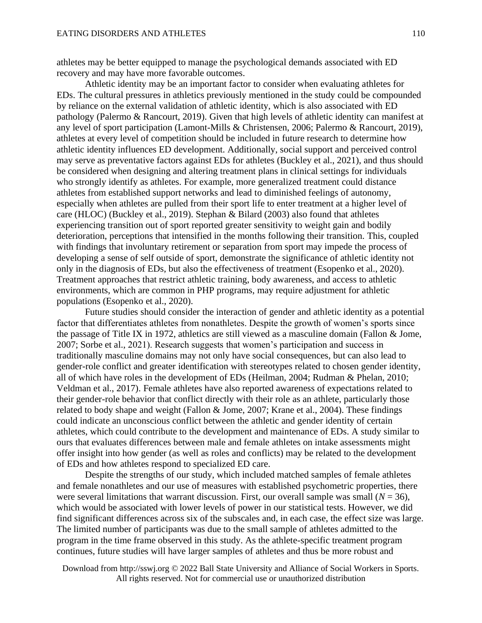athletes may be better equipped to manage the psychological demands associated with ED recovery and may have more favorable outcomes.

Athletic identity may be an important factor to consider when evaluating athletes for EDs. The cultural pressures in athletics previously mentioned in the study could be compounded by reliance on the external validation of athletic identity, which is also associated with ED pathology (Palermo & Rancourt, 2019). Given that high levels of athletic identity can manifest at any level of sport participation (Lamont-Mills & Christensen, 2006; Palermo & Rancourt, 2019), athletes at every level of competition should be included in future research to determine how athletic identity influences ED development. Additionally, social support and perceived control may serve as preventative factors against EDs for athletes (Buckley et al., 2021), and thus should be considered when designing and altering treatment plans in clinical settings for individuals who strongly identify as athletes. For example, more generalized treatment could distance athletes from established support networks and lead to diminished feelings of autonomy, especially when athletes are pulled from their sport life to enter treatment at a higher level of care (HLOC) (Buckley et al., 2019). Stephan & Bilard (2003) also found that athletes experiencing transition out of sport reported greater sensitivity to weight gain and bodily deterioration, perceptions that intensified in the months following their transition. This, coupled with findings that involuntary retirement or separation from sport may impede the process of developing a sense of self outside of sport, demonstrate the significance of athletic identity not only in the diagnosis of EDs, but also the effectiveness of treatment (Esopenko et al., 2020). Treatment approaches that restrict athletic training, body awareness, and access to athletic environments, which are common in PHP programs, may require adjustment for athletic populations (Esopenko et al., 2020).

Future studies should consider the interaction of gender and athletic identity as a potential factor that differentiates athletes from nonathletes. Despite the growth of women's sports since the passage of Title IX in 1972, athletics are still viewed as a masculine domain (Fallon & Jome, 2007; Sorbe et al., 2021). Research suggests that women's participation and success in traditionally masculine domains may not only have social consequences, but can also lead to gender-role conflict and greater identification with stereotypes related to chosen gender identity, all of which have roles in the development of EDs (Heilman, 2004; Rudman & Phelan, 2010; Veldman et al., 2017). Female athletes have also reported awareness of expectations related to their gender-role behavior that conflict directly with their role as an athlete, particularly those related to body shape and weight (Fallon & Jome, 2007; Krane et al., 2004). These findings could indicate an unconscious conflict between the athletic and gender identity of certain athletes, which could contribute to the development and maintenance of EDs. A study similar to ours that evaluates differences between male and female athletes on intake assessments might offer insight into how gender (as well as roles and conflicts) may be related to the development of EDs and how athletes respond to specialized ED care.

 Despite the strengths of our study, which included matched samples of female athletes and female nonathletes and our use of measures with established psychometric properties, there were several limitations that warrant discussion. First, our overall sample was small  $(N = 36)$ , which would be associated with lower levels of power in our statistical tests. However, we did find significant differences across six of the subscales and, in each case, the effect size was large. The limited number of participants was due to the small sample of athletes admitted to the program in the time frame observed in this study. As the athlete-specific treatment program continues, future studies will have larger samples of athletes and thus be more robust and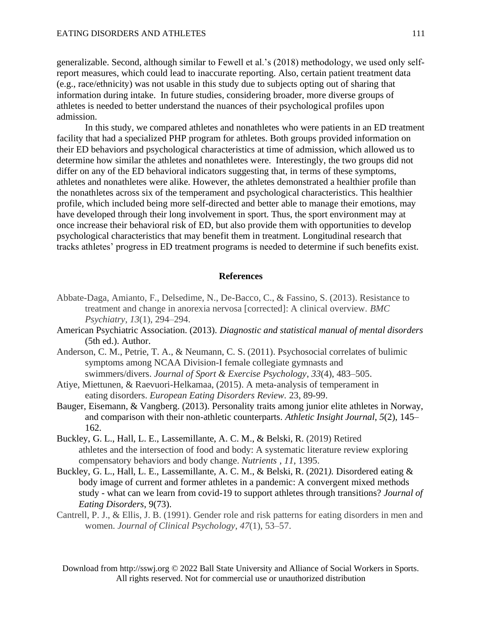generalizable. Second, although similar to Fewell et al.'s (2018) methodology, we used only selfreport measures, which could lead to inaccurate reporting. Also, certain patient treatment data (e.g., race/ethnicity) was not usable in this study due to subjects opting out of sharing that information during intake. In future studies, considering broader, more diverse groups of athletes is needed to better understand the nuances of their psychological profiles upon admission.

In this study, we compared athletes and nonathletes who were patients in an ED treatment facility that had a specialized PHP program for athletes. Both groups provided information on their ED behaviors and psychological characteristics at time of admission, which allowed us to determine how similar the athletes and nonathletes were. Interestingly, the two groups did not differ on any of the ED behavioral indicators suggesting that, in terms of these symptoms, athletes and nonathletes were alike. However, the athletes demonstrated a healthier profile than the nonathletes across six of the temperament and psychological characteristics. This healthier profile, which included being more self-directed and better able to manage their emotions, may have developed through their long involvement in sport. Thus, the sport environment may at once increase their behavioral risk of ED, but also provide them with opportunities to develop psychological characteristics that may benefit them in treatment. Longitudinal research that tracks athletes' progress in ED treatment programs is needed to determine if such benefits exist.

#### **References**

- Abbate-Daga, Amianto, F., Delsedime, N., De-Bacco, C., & Fassino, S. (2013). Resistance to treatment and change in anorexia nervosa [corrected]: A clinical overview. *BMC Psychiatry*, *13*(1), 294–294.
- American Psychiatric Association. (2013). *Diagnostic and statistical manual of mental disorders* (5th ed.). Author.
- Anderson, C. M., Petrie, T. A., & Neumann, C. S. (2011). Psychosocial correlates of bulimic symptoms among NCAA Division-I female collegiate gymnasts and swimmers/divers. *Journal of Sport & Exercise Psychology*, *33*(4), 483–505.
- Atiye, Miettunen, & Raevuori-Helkamaa, (2015). A meta-analysis of temperament in eating disorders. *European Eating Disorders Review.* 23, 89-99.
- Bauger, Eisemann, & Vangberg. (2013). Personality traits among junior elite athletes in Norway, and comparison with their non-athletic counterparts. *Athletic Insight Journal*, *5*(2), 145– 162.
- Buckley, G. L., Hall, L. E., Lassemillante, A. C. M., & Belski, R. (2019) Retired athletes and the intersection of food and body: A systematic literature review exploring compensatory behaviors and body change. *Nutrients* , *11*, 1395.
- Buckley, G. L., Hall, L. E., Lassemillante, A. C. M., & Belski, R. (2021*).* Disordered eating & body image of current and former athletes in a pandemic: A convergent mixed methods study - what can we learn from covid-19 to support athletes through transitions? *Journal of Eating Disorders*, 9(73).
- Cantrell, P. J., & Ellis, J. B. (1991). Gender role and risk patterns for eating disorders in men and women. *Journal of Clinical Psychology*, *47*(1), 53–57.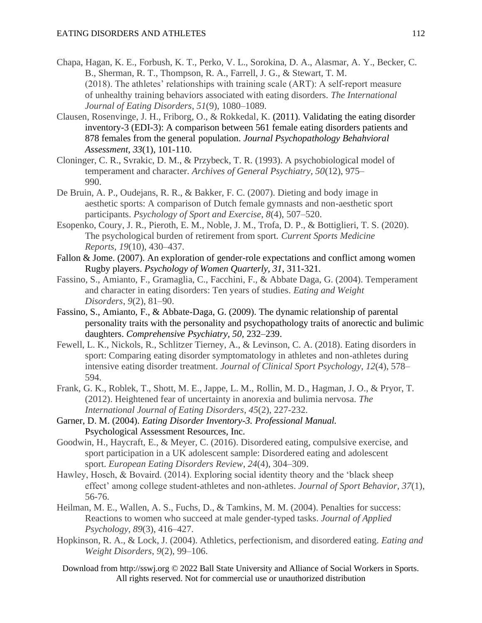- Chapa, Hagan, K. E., Forbush, K. T., Perko, V. L., Sorokina, D. A., Alasmar, A. Y., Becker, C. B., Sherman, R. T., Thompson, R. A., Farrell, J. G., & Stewart, T. M. (2018). The athletes' relationships with training scale (ART): A self‐report measure of unhealthy training behaviors associated with eating disorders. *The International Journal of Eating Disorders*, *51*(9), 1080–1089.
- Clausen, Rosenvinge, J. H., Friborg, O., & Rokkedal, K. (2011). Validating the eating disorder inventory-3 (EDI-3): A comparison between 561 female eating disorders patients and 878 females from the general population. *Journal Psychopathology Behahvioral Assessment*, *33*(1), 101-110.
- Cloninger, C. R., Svrakic, D. M., & Przybeck, T. R. (1993). A psychobiological model of temperament and character. *Archives of General Psychiatry, 50*(12), 975– 990.
- De Bruin, A. P., Oudejans, R. R., & Bakker, F. C. (2007). Dieting and body image in aesthetic sports: A comparison of Dutch female gymnasts and non-aesthetic sport participants. *Psychology of Sport and Exercise*, *8*(4), 507–520.
- Esopenko, Coury, J. R., Pieroth, E. M., Noble, J. M., Trofa, D. P., & Bottiglieri, T. S. (2020). The psychological burden of retirement from sport. *Current Sports Medicine Reports*, *19*(10), 430–437.
- Fallon & Jome. (2007). An exploration of gender-role expectations and conflict among women Rugby players. *Psychology of Women Quarterly, 31*, 311-321.
- Fassino, S., Amianto, F., Gramaglia, C., Facchini, F., & Abbate Daga, G. (2004). Temperament and character in eating disorders: Ten years of studies. *Eating and Weight Disorders*, *9*(2), 81–90.
- Fassino, S., Amianto, F., & Abbate-Daga, G. (2009). The dynamic relationship of parental personality traits with the personality and psychopathology traits of anorectic and bulimic daughters. *Comprehensive Psychiatry, 50*, 232–239.
- Fewell, L. K., Nickols, R., Schlitzer Tierney, A., & Levinson, C. A. (2018). Eating disorders in sport: Comparing eating disorder symptomatology in athletes and non-athletes during intensive eating disorder treatment. *Journal of Clinical Sport Psychology*, *12*(4), 578– 594.
- Frank, G. K., Roblek, T., Shott, M. E., Jappe, L. M., Rollin, M. D., Hagman, J. O., & Pryor, T. (2012). Heightened fear of uncertainty in anorexia and bulimia nervosa. *The International Journal of Eating Disorders*, *45*(2), 227-232.
- Garner, D. M. (2004). *Eating Disorder Inventory-3. Professional Manual.* Psychological Assessment Resources, Inc.
- Goodwin, H., Haycraft, E., & Meyer, C. (2016). Disordered eating, compulsive exercise, and sport participation in a UK adolescent sample: Disordered eating and adolescent sport. *European Eating Disorders Review*, *24*(4), 304–309.
- Hawley, Hosch, & Bovaird. (2014). Exploring social identity theory and the 'black sheep effect' among college student-athletes and non-athletes. *Journal of Sport Behavior, 37*(1), 56-76.
- Heilman, M. E., Wallen, A. S., Fuchs, D., & Tamkins, M. M. (2004). Penalties for success: Reactions to women who succeed at male gender-typed tasks. *Journal of Applied Psychology*, *89*(3), 416–427.
- Hopkinson, R. A., & Lock, J. (2004). Athletics, perfectionism, and disordered eating. *Eating and Weight Disorders*, *9*(2), 99–106.
	- Download from http://sswj.org © 2022 Ball State University and Alliance of Social Workers in Sports. All rights reserved. Not for commercial use or unauthorized distribution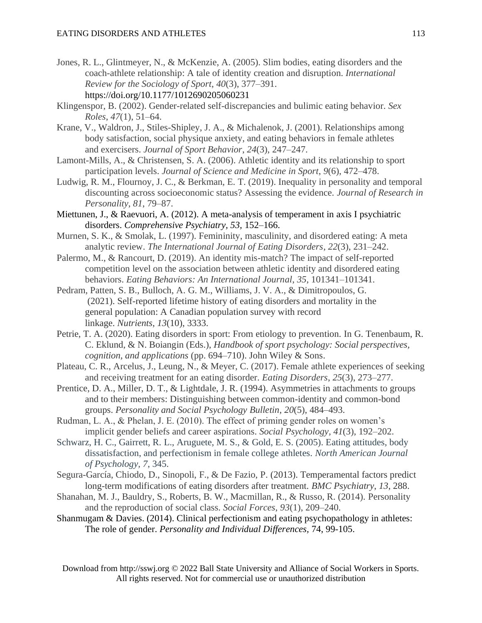- Jones, R. L., Glintmeyer, N., & McKenzie, A. (2005). Slim bodies, eating disorders and the coach-athlete relationship: A tale of identity creation and disruption. *International Review for the Sociology of Sport*, *40*(3), 377–391. https://doi.org/10.1177/1012690205060231
- Klingenspor, B. (2002). Gender-related self-discrepancies and bulimic eating behavior. *Sex Roles*, *47*(1), 51–64.
- Krane, V., Waldron, J., Stiles-Shipley, J. A., & Michalenok, J. (2001). Relationships among body satisfaction, social physique anxiety, and eating behaviors in female athletes and exercisers. *Journal of Sport Behavior*, *24*(3), 247–247.
- Lamont-Mills, A., & Christensen, S. A. (2006). Athletic identity and its relationship to sport participation levels. *Journal of Science and Medicine in Sport*, *9*(6), 472–478.
- Ludwig, R. M., Flournoy, J. C., & Berkman, E. T. (2019). Inequality in personality and temporal discounting across socioeconomic status? Assessing the evidence. *Journal of Research in Personality*, *81*, 79–87.
- Miettunen, J., & Raevuori, A. (2012). A meta-analysis of temperament in axis I psychiatric disorders. *Comprehensive Psychiatry, 53,* 152–166.
- Murnen, S. K., & Smolak, L. (1997). Femininity, masculinity, and disordered eating: A meta analytic review. *The International Journal of Eating Disorders*, *22*(3), 231–242.
- Palermo, M., & Rancourt, D. (2019). An identity mis-match? The impact of self-reported competition level on the association between athletic identity and disordered eating behaviors. *Eating Behaviors: An International Journal*, *35*, 101341–101341.
- Pedram, Patten, S. B., Bulloch, A. G. M., Williams, J. V. A., & Dimitropoulos, G. (2021). Self-reported lifetime history of eating disorders and mortality in the general population: A Canadian population survey with record linkage. *Nutrients*, *13*(10), 3333.
- Petrie, T. A. (2020). Eating disorders in sport: From etiology to prevention. In G. Tenenbaum, R. C. Eklund, & N. Boiangin (Eds.), *Handbook of sport psychology: Social perspectives, cognition, and applications* (pp. 694–710). John Wiley & Sons.
- Plateau, C. R., Arcelus, J., Leung, N., & Meyer, C. (2017). Female athlete experiences of seeking and receiving treatment for an eating disorder. *Eating Disorders*, *25*(3), 273–277.
- Prentice, D. A., Miller, D. T., & Lightdale, J. R. (1994). Asymmetries in attachments to groups and to their members: Distinguishing between common-identity and common-bond groups. *Personality and Social Psychology Bulletin*, *20*(5), 484–493.
- Rudman, L. A., & Phelan, J. E. (2010). The effect of priming gender roles on women's implicit gender beliefs and career aspirations. *Social Psychology, 41*(3), 192–202.
- Schwarz, H. C., Gairrett, R. L., Aruguete, M. S., & Gold, E. S. (2005). Eating attitudes, body dissatisfaction, and perfectionism in female college athletes. *North American Journal of Psychology, 7*, 345.
- Segura-García, Chiodo, D., Sinopoli, F., & De Fazio, P. (2013). Temperamental factors predict long-term modifications of eating disorders after treatment. *BMC Psychiatry*, *13*, 288.
- Shanahan, M. J., Bauldry, S., Roberts, B. W., Macmillan, R., & Russo, R. (2014). Personality and the reproduction of social class. *Social Forces*, *93*(1), 209–240.
- Shanmugam & Davies. (2014). Clinical perfectionism and eating psychopathology in athletes: The role of gender. *Personality and Individual Differences,* 74, 99-105.